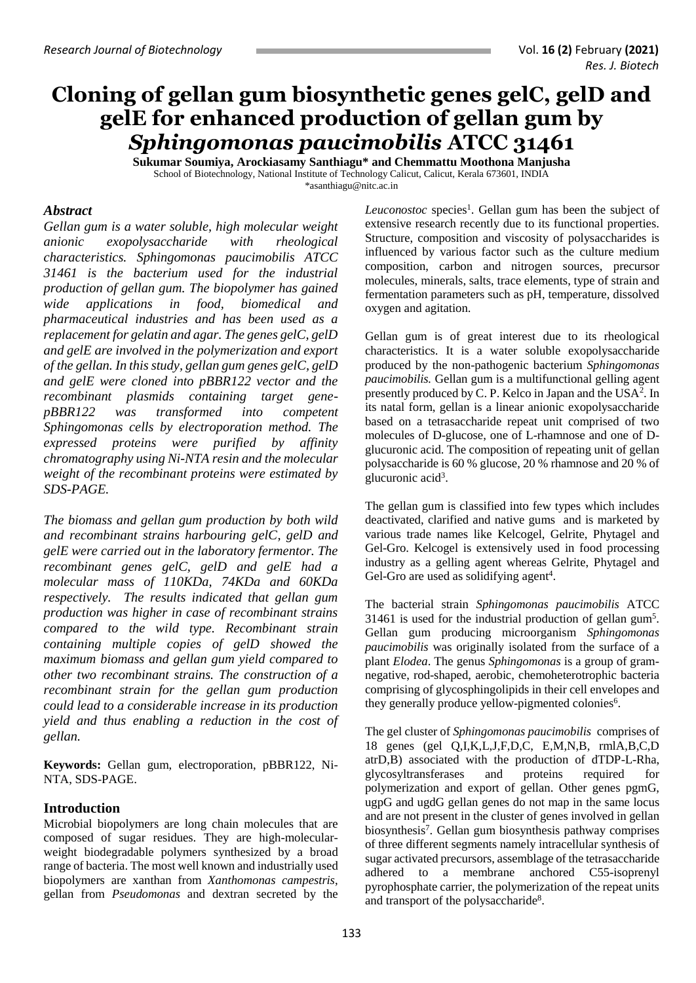# **Cloning of gellan gum biosynthetic genes gelC, gelD and gelE for enhanced production of gellan gum by**  *Sphingomonas paucimobilis* **ATCC 31461**

**Sukumar Soumiya, Arockiasamy Santhiagu\* and Chemmattu Moothona Manjusha** School of Biotechnology, National Institute of Technology Calicut, Calicut, Kerala 673601, INDIA [\\*asanthiagu@nitc.ac.in](mailto:asanthiagu@nitc.ac.in)

#### *Abstract*

*Gellan gum is a water soluble, high molecular weight anionic exopolysaccharide with rheological characteristics. Sphingomonas paucimobilis ATCC 31461 is the bacterium used for the industrial production of gellan gum. The biopolymer has gained wide applications in food, biomedical and pharmaceutical industries and has been used as a replacement for gelatin and agar. The genes gelC, gelD and gelE are involved in the polymerization and export of the gellan. In this study, gellan gum genes gelC, gelD and gelE were cloned into pBBR122 vector and the recombinant plasmids containing target genepBBR122 was transformed into competent Sphingomonas cells by electroporation method. The expressed proteins were purified by affinity chromatography using Ni-NTA resin and the molecular weight of the recombinant proteins were estimated by SDS-PAGE.* 

*The biomass and gellan gum production by both wild and recombinant strains harbouring gelC, gelD and gelE were carried out in the laboratory fermentor. The recombinant genes gelC, gelD and gelE had a molecular mass of 110KDa, 74KDa and 60KDa respectively. The results indicated that gellan gum production was higher in case of recombinant strains compared to the wild type. Recombinant strain containing multiple copies of gelD showed the maximum biomass and gellan gum yield compared to other two recombinant strains. The construction of a recombinant strain for the gellan gum production could lead to a considerable increase in its production yield and thus enabling a reduction in the cost of gellan.*

**Keywords:** Gellan gum, electroporation, pBBR122, Ni-NTA, SDS-PAGE.

### **Introduction**

Microbial biopolymers are long chain molecules that are composed of sugar residues. They are high-molecularweight biodegradable polymers synthesized by a broad range of bacteria. The most well known and industrially used biopolymers are xanthan from *Xanthomonas campestris*, gellan from *Pseudomonas* and dextran secreted by the

Leuconostoc species<sup>1</sup>. Gellan gum has been the subject of extensive research recently due to its functional properties. Structure, composition and viscosity of polysaccharides is influenced by various factor such as the culture medium composition, carbon and nitrogen sources, precursor molecules, minerals, salts, trace elements, type of strain and fermentation parameters such as pH, temperature, dissolved oxygen and agitation.

Gellan gum is of great interest due to its rheological characteristics. It is a water soluble exopolysaccharide produced by the non-pathogenic bacterium *Sphingomonas paucimobilis.* Gellan gum is a multifunctional gelling agent presently produced by C. P. Kelco in Japan and the USA<sup>2</sup>. In its natal form, gellan is a linear anionic exopolysaccharide based on a tetrasaccharide repeat unit comprised of two molecules of D-glucose, one of L-rhamnose and one of Dglucuronic acid. The composition of repeating unit of gellan polysaccharide is 60 % glucose, 20 % rhamnose and 20 % of glucuronic acid<sup>3</sup>.

The gellan gum is classified into few types which includes deactivated, clarified and native gums and is marketed by various trade names like Kelcogel, Gelrite, Phytagel and Gel-Gro. Kelcogel is extensively used in food processing industry as a gelling agent whereas Gelrite, Phytagel and Gel-Gro are used as solidifying agent<sup>4</sup>.

The bacterial strain *Sphingomonas paucimobilis* ATCC 31461 is used for the industrial production of gellan gum<sup>5</sup>. Gellan gum producing microorganism *Sphingomonas paucimobilis* was originally isolated from the surface of a plant *Elodea*. The genus *Sphingomonas* is a group of gramnegative, rod-shaped, aerobic, chemoheterotrophic bacteria comprising of glycosphingolipids in their cell envelopes and they generally produce yellow-pigmented colonies<sup>6</sup>.

The gel cluster of *Sphingomonas paucimobilis* comprises of 18 genes (gel Q,I,K,L,J,F,D,C, E,M,N,B, rmlA,B,C,D atrD,B) associated with the production of dTDP-L-Rha, glycosyltransferases and proteins required for polymerization and export of gellan. Other genes pgmG, ugpG and ugdG gellan genes do not map in the same locus and are not present in the cluster of genes involved in gellan biosynthesis<sup>7</sup>. Gellan gum biosynthesis pathway comprises of three different segments namely intracellular synthesis of sugar activated precursors, assemblage of the tetrasaccharide adhered to a membrane anchored C55-isoprenyl pyrophosphate carrier, the polymerization of the repeat units and transport of the polysaccharide<sup>8</sup>.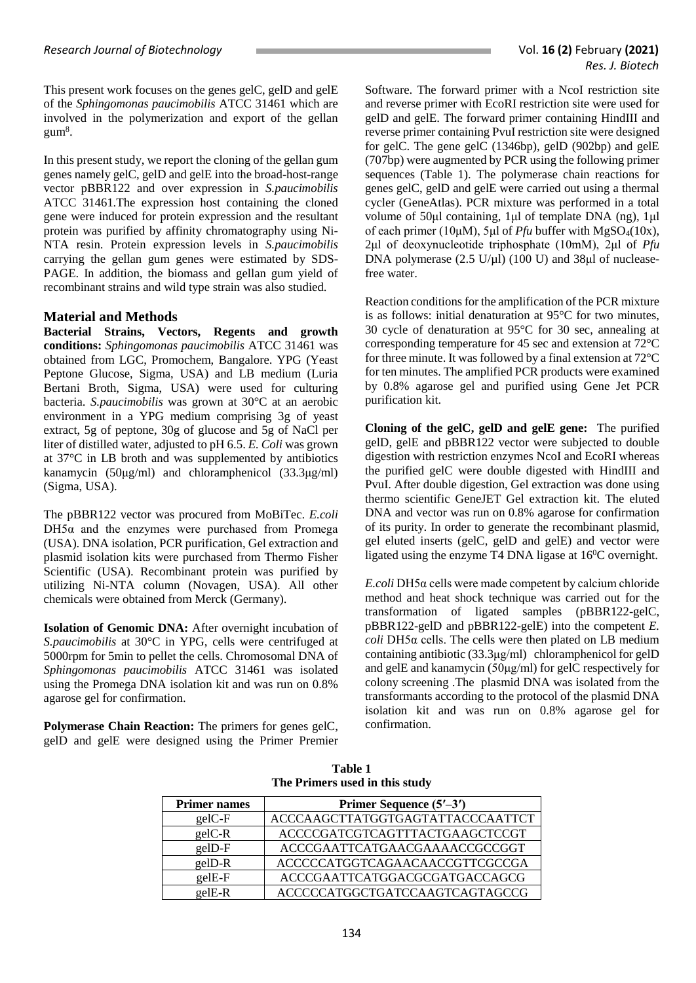This present work focuses on the genes gelC, gelD and gelE of the *Sphingomonas paucimobilis* ATCC 31461 which are involved in the polymerization and export of the gellan  $\mathrm{gum^{8}}$ .

In this present study, we report the cloning of the gellan gum genes namely gelC, gelD and gelE into the broad-host-range vector pBBR122 and over expression in *S.paucimobilis*  ATCC 31461.The expression host containing the cloned gene were induced for protein expression and the resultant protein was purified by affinity chromatography using Ni-NTA resin. Protein expression levels in *S.paucimobilis* carrying the gellan gum genes were estimated by SDS-PAGE. In addition, the biomass and gellan gum yield of recombinant strains and wild type strain was also studied.

## **Material and Methods**

**Bacterial Strains, Vectors, Regents and growth conditions:** *Sphingomonas paucimobilis* ATCC 31461 was obtained from LGC, Promochem, Bangalore. YPG (Yeast Peptone Glucose, Sigma, USA) and LB medium (Luria Bertani Broth, Sigma, USA) were used for culturing bacteria. *S.paucimobilis* was grown at 30°C at an aerobic environment in a YPG medium comprising 3g of yeast extract, 5g of peptone, 30g of glucose and 5g of NaCl per liter of distilled water, adjusted to pH 6.5. *E. Coli* was grown at 37°C in LB broth and was supplemented by antibiotics kanamycin (50μg/ml) and chloramphenicol (33.3μg/ml) (Sigma, USA).

The pBBR122 vector was procured from MoBiTec. *E.coli*   $DH5\alpha$  and the enzymes were purchased from Promega (USA). DNA isolation, PCR purification, Gel extraction and plasmid isolation kits were purchased from Thermo Fisher Scientific (USA). Recombinant protein was purified by utilizing Ni-NTA column (Novagen, USA). All other chemicals were obtained from Merck (Germany).

**Isolation of Genomic DNA:** After overnight incubation of *S.paucimobilis* at 30°C in YPG, cells were centrifuged at 5000rpm for 5min to pellet the cells. Chromosomal DNA of *Sphingomonas paucimobilis* ATCC 31461 was isolated using the Promega DNA isolation kit and was run on 0.8% agarose gel for confirmation.

**Polymerase Chain Reaction:** The primers for genes gelC, gelD and gelE were designed using the Primer Premier Software. The forward primer with a NcoI restriction site and reverse primer with EcoRI restriction site were used for gelD and gelE. The forward primer containing HindIII and reverse primer containing PvuI restriction site were designed for gelC. The gene gelC (1346bp), gelD (902bp) and gelE (707bp) were augmented by PCR using the following primer sequences (Table 1). The polymerase chain reactions for genes gelC, gelD and gelE were carried out using a thermal cycler (GeneAtlas). PCR mixture was performed in a total volume of 50μl containing, 1μl of template DNA (ng), 1μl of each primer (10μM), 5μl of *Pfu* buffer with MgSO4(10x), 2μl of deoxynucleotide triphosphate (10mΜ), 2μl of *Pfu* DNA polymerase  $(2.5 \text{ U/}\mu\text{I})$  (100 U) and 38 $\mu\text{I}$  of nucleasefree water.

Reaction conditions for the amplification of the PCR mixture is as follows: initial denaturation at 95°C for two minutes, 30 cycle of denaturation at 95°C for 30 sec, annealing at corresponding temperature for 45 sec and extension at 72°C for three minute. It was followed by a final extension at 72°C for ten minutes. The amplified PCR products were examined by 0.8% agarose gel and purified using Gene Jet PCR purification kit.

**Cloning of the gelC, gelD and gelE gene:** The purified gelD, gelE and pBBR122 vector were subjected to double digestion with restriction enzymes NcoI and EcoRI whereas the purified gelC were double digested with HindIII and PvuI. After double digestion, Gel extraction was done using thermo scientific GeneJET Gel extraction kit. The eluted DNA and vector was run on 0.8% agarose for confirmation of its purity. In order to generate the recombinant plasmid, gel eluted inserts (gelC, gelD and gelE) and vector were ligated using the enzyme T4 DNA ligase at 16<sup>0</sup>C overnight.

*E.coli* DH5α cells were made competent by calcium chloride method and heat shock technique was carried out for the transformation of ligated samples (pBBR122-gelC, pBBR122-gelD and pBBR122-gelE) into the competent *E. coli* DH5α cells. The cells were then plated on LB medium containing antibiotic (33.3μg/ml) chloramphenicol for gelD and gelE and kanamycin (50μg/ml) for gelC respectively for colony screening .The plasmid DNA was isolated from the transformants according to the protocol of the plasmid DNA isolation kit and was run on 0.8% agarose gel for confirmation.

| THE T THREE WORK IN THIS STAY, |                                  |  |  |
|--------------------------------|----------------------------------|--|--|
| <b>Primer names</b>            | Primer Sequence (5'-3')          |  |  |
| $gelC-F$                       | ACCCAAGCTTATGGTGAGTATTACCCAATTCT |  |  |
| $gelC-R$                       | ACCCCGATCGTCAGTTTACTGAAGCTCCGT   |  |  |
| gelD-F                         | ACCCGAATTCATGAACGAAAACCGCCGGT    |  |  |
| gelD-R                         | ACCCCCATGGTCAGAACAACCGTTCGCCGA   |  |  |
| gelE-F                         | ACCCGAATTCATGGACGCGATGACCAGCG    |  |  |
| gelE-R                         | ACCCCCATGGCTGATCCAAGTCAGTAGCCG   |  |  |

**Table 1 The Primers used in this study**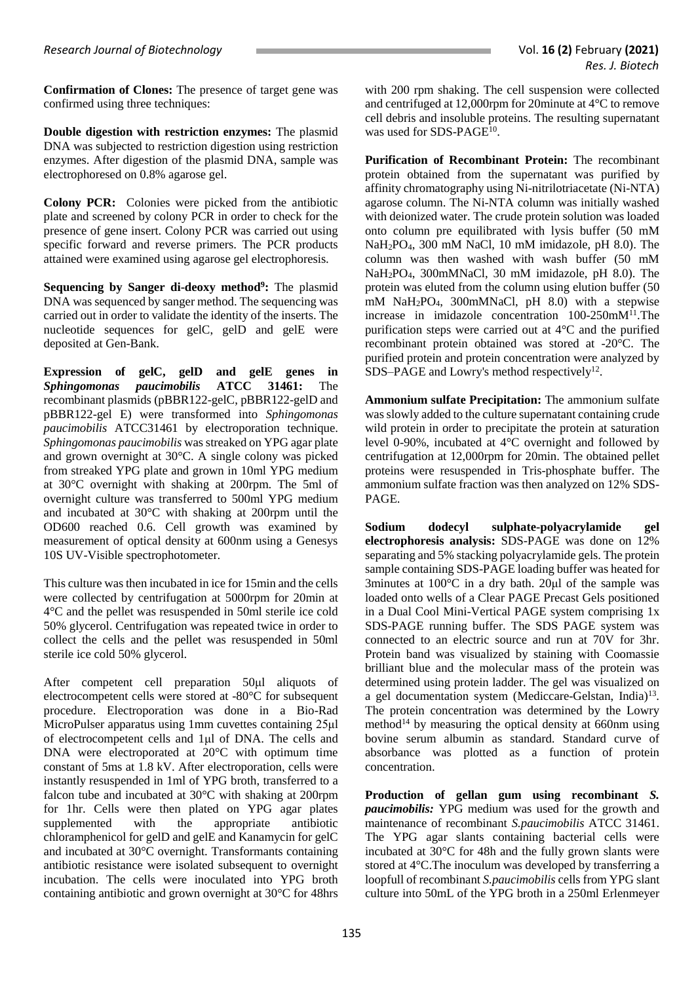**Confirmation of Clones:** The presence of target gene was confirmed using three techniques:

**Double digestion with restriction enzymes:** The plasmid DNA was subjected to restriction digestion using restriction enzymes. After digestion of the plasmid DNA, sample was electrophoresed on 0.8% agarose gel.

**Colony PCR:** Colonies were picked from the antibiotic plate and screened by colony PCR in order to check for the presence of gene insert. Colony PCR was carried out using specific forward and reverse primers. The PCR products attained were examined using agarose gel electrophoresis.

**Sequencing by Sanger di-deoxy method<sup>9</sup> :** The plasmid DNA was sequenced by sanger method. The sequencing was carried out in order to validate the identity of the inserts. The nucleotide sequences for gelC, gelD and gelE were deposited at Gen-Bank.

**Expression of gelC, gelD and gelE genes in**  *Sphingomonas paucimobilis* **ATCC 31461:** The recombinant plasmids (pBBR122-gelC, pBBR122-gelD and pBBR122-gel E) were transformed into *Sphingomonas paucimobilis* ATCC31461 by electroporation technique. *Sphingomonas paucimobilis* was streaked on YPG agar plate and grown overnight at 30°C. A single colony was picked from streaked YPG plate and grown in 10ml YPG medium at 30°C overnight with shaking at 200rpm. The 5ml of overnight culture was transferred to 500ml YPG medium and incubated at 30°C with shaking at 200rpm until the OD600 reached 0.6. Cell growth was examined by measurement of optical density at 600nm using a Genesys 10S UV-Visible spectrophotometer.

This culture was then incubated in ice for 15min and the cells were collected by centrifugation at 5000rpm for 20min at 4°C and the pellet was resuspended in 50ml sterile ice cold 50% glycerol. Centrifugation was repeated twice in order to collect the cells and the pellet was resuspended in 50ml sterile ice cold 50% glycerol.

After competent cell preparation 50μl aliquots of electrocompetent cells were stored at -80°C for subsequent procedure. Electroporation was done in a Bio-Rad MicroPulser apparatus using 1mm cuvettes containing 25μl of electrocompetent cells and 1μl of DNA. The cells and DNA were electroporated at 20<sup>o</sup>C with optimum time constant of 5ms at 1.8 kV. After electroporation, cells were instantly resuspended in 1ml of YPG broth, transferred to a falcon tube and incubated at 30°C with shaking at 200rpm for 1hr. Cells were then plated on YPG agar plates supplemented with the appropriate antibiotic chloramphenicol for gelD and gelE and Kanamycin for gelC and incubated at 30°C overnight. Transformants containing antibiotic resistance were isolated subsequent to overnight incubation. The cells were inoculated into YPG broth containing antibiotic and grown overnight at 30°C for 48hrs

with 200 rpm shaking. The cell suspension were collected and centrifuged at 12,000rpm for 20minute at 4°C to remove cell debris and insoluble proteins. The resulting supernatant was used for SDS-PAGE<sup>10</sup>.

**Purification of Recombinant Protein:** The recombinant protein obtained from the supernatant was purified by affinity chromatography using Ni-nitrilotriacetate (Ni-NTA) agarose column. The Ni-NTA column was initially washed with deionized water. The crude protein solution was loaded onto column pre equilibrated with lysis buffer (50 mM NaH2PO4, 300 mM NaCl, 10 mM imidazole, pH 8.0). The column was then washed with wash buffer (50 mM NaH2PO4, 300mMNaCl, 30 mM imidazole, pH 8.0). The protein was eluted from the column using elution buffer (50 mM NaH2PO4, 300mMNaCl, pH 8.0) with a stepwise increase in imidazole concentration  $100-250$ m $M<sup>11</sup>$ . The purification steps were carried out at 4°C and the purified recombinant protein obtained was stored at -20°C. The purified protein and protein concentration were analyzed by SDS-PAGE and Lowry's method respectively<sup>12</sup>.

**Ammonium sulfate Precipitation:** The ammonium sulfate was slowly added to the culture supernatant containing crude wild protein in order to precipitate the protein at saturation level 0-90%, incubated at 4°C overnight and followed by centrifugation at 12,000rpm for 20min. The obtained pellet proteins were resuspended in Tris-phosphate buffer. The ammonium sulfate fraction was then analyzed on 12% SDS-PAGE.

**Sodium dodecyl sulphate-polyacrylamide gel electrophoresis analysis:** SDS-PAGE was done on 12% separating and 5% stacking polyacrylamide gels. The protein sample containing SDS-PAGE loading buffer was heated for 3minutes at 100°C in a dry bath. 20μl of the sample was loaded onto wells of a Clear PAGE Precast Gels positioned in a Dual Cool Mini-Vertical PAGE system comprising 1x SDS-PAGE running buffer. The SDS PAGE system was connected to an electric source and run at 70V for 3hr. Protein band was visualized by staining with Coomassie brilliant blue and the molecular mass of the protein was determined using protein ladder. The gel was visualized on a gel documentation system (Mediccare-Gelstan, India)<sup>13</sup>. The protein concentration was determined by the Lowry method<sup>14</sup> by measuring the optical density at 660nm using bovine serum albumin as standard. Standard curve of absorbance was plotted as a function of protein concentration.

**Production of gellan gum using recombinant** *S. paucimobilis:* YPG medium was used for the growth and maintenance of recombinant *S.paucimobilis* ATCC 31461. The YPG agar slants containing bacterial cells were incubated at 30°C for 48h and the fully grown slants were stored at 4°C.The inoculum was developed by transferring a loopfull of recombinant *S.paucimobilis* cells from YPG slant culture into 50mL of the YPG broth in a 250ml Erlenmeyer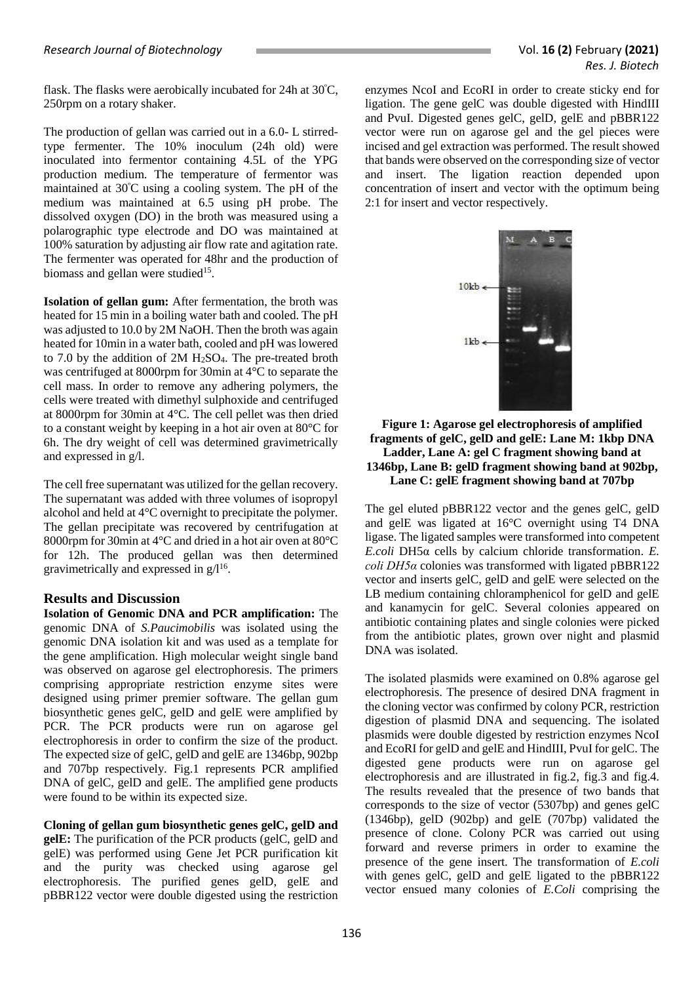flask. The flasks were aerobically incubated for 24h at 30<sup>º</sup>C, 250rpm on a rotary shaker.

The production of gellan was carried out in a 6.0- L stirredtype fermenter. The 10% inoculum (24h old) were inoculated into fermentor containing 4.5L of the YPG production medium. The temperature of fermentor was maintained at 30<sup>º</sup>C using a cooling system. The pH of the medium was maintained at 6.5 using pH probe. The dissolved oxygen (DO) in the broth was measured using a polarographic type electrode and DO was maintained at 100% saturation by adjusting air flow rate and agitation rate. The fermenter was operated for 48hr and the production of biomass and gellan were studied<sup>15</sup>.

**Isolation of gellan gum:** After fermentation, the broth was heated for 15 min in a boiling water bath and cooled. The pH was adjusted to 10.0 by 2M NaOH. Then the broth was again heated for 10min in a water bath, cooled and pH was lowered to 7.0 by the addition of 2M  $H<sub>2</sub>SO<sub>4</sub>$ . The pre-treated broth was centrifuged at 8000rpm for 30min at 4°C to separate the cell mass. In order to remove any adhering polymers, the cells were treated with dimethyl sulphoxide and centrifuged at 8000rpm for 30min at 4°C. The cell pellet was then dried to a constant weight by keeping in a hot air oven at 80°C for 6h. The dry weight of cell was determined gravimetrically and expressed in g/l.

The cell free supernatant was utilized for the gellan recovery. The supernatant was added with three volumes of isopropyl alcohol and held at 4°C overnight to precipitate the polymer. The gellan precipitate was recovered by centrifugation at 8000rpm for 30min at 4°C and dried in a hot air oven at 80°C for 12h. The produced gellan was then determined gravimetrically and expressed in  $g/I^{16}$ .

### **Results and Discussion**

**Isolation of Genomic DNA and PCR amplification:** The genomic DNA of *S.Paucimobilis* was isolated using the genomic DNA isolation kit and was used as a template for the gene amplification. High molecular weight single band was observed on agarose gel electrophoresis. The primers comprising appropriate restriction enzyme sites were designed using primer premier software. The gellan gum biosynthetic genes gelC, gelD and gelE were amplified by PCR. The PCR products were run on agarose gel electrophoresis in order to confirm the size of the product. The expected size of gelC, gelD and gelE are 1346bp, 902bp and 707bp respectively. Fig.1 represents PCR amplified DNA of gelC, gelD and gelE. The amplified gene products were found to be within its expected size.

# **Cloning of gellan gum biosynthetic genes gelC, gelD and**

**gelE:** The purification of the PCR products (gelC, gelD and gelE) was performed using Gene Jet PCR purification kit and the purity was checked using agarose gel electrophoresis. The purified genes gelD, gelE and pBBR122 vector were double digested using the restriction

enzymes NcoI and EcoRI in order to create sticky end for ligation. The gene gelC was double digested with HindIII and PvuI. Digested genes gelC, gelD, gelE and pBBR122 vector were run on agarose gel and the gel pieces were incised and gel extraction was performed. The result showed that bands were observed on the corresponding size of vector and insert. The ligation reaction depended upon concentration of insert and vector with the optimum being 2:1 for insert and vector respectively.



#### **Figure 1: Agarose gel electrophoresis of amplified fragments of gelC, gelD and gelE: Lane M: 1kbp DNA Ladder, Lane A: gel C fragment showing band at 1346bp, Lane B: gelD fragment showing band at 902bp, Lane C: gelE fragment showing band at 707bp**

The gel eluted pBBR122 vector and the genes gelC, gelD and gelE was ligated at 16°C overnight using T4 DNA ligase. The ligated samples were transformed into competent *E.coli* DH5α cells by calcium chloride transformation. *E. coli DH5α* colonies was transformed with ligated pBBR122 vector and inserts gelC, gelD and gelE were selected on the LB medium containing chloramphenicol for gelD and gelE and kanamycin for gelC. Several colonies appeared on antibiotic containing plates and single colonies were picked from the antibiotic plates, grown over night and plasmid DNA was isolated.

The isolated plasmids were examined on 0.8% agarose gel electrophoresis. The presence of desired DNA fragment in the cloning vector was confirmed by colony PCR, restriction digestion of plasmid DNA and sequencing. The isolated plasmids were double digested by restriction enzymes NcoI and EcoRI for gelD and gelE and HindIII, PvuI for gelC. The digested gene products were run on agarose gel electrophoresis and are illustrated in fig.2, fig.3 and fig.4. The results revealed that the presence of two bands that corresponds to the size of vector (5307bp) and genes gelC (1346bp), gelD (902bp) and gelE (707bp) validated the presence of clone. Colony PCR was carried out using forward and reverse primers in order to examine the presence of the gene insert. The transformation of *E.coli*  with genes gelC, gelD and gelE ligated to the pBBR122 vector ensued many colonies of *E.Coli* comprising the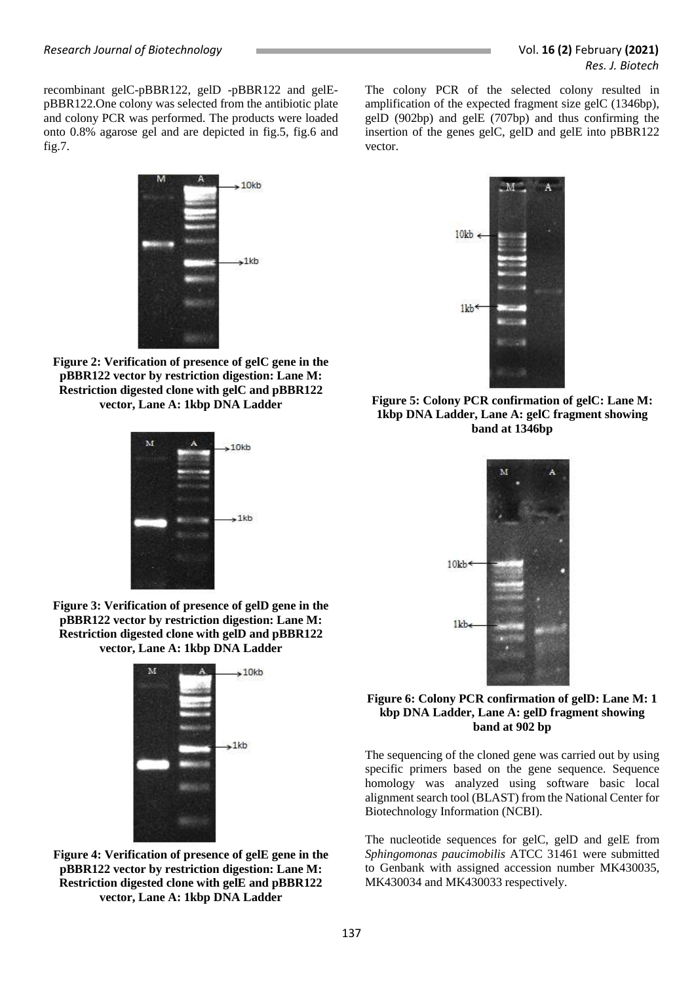recombinant gelC-pBBR122, gelD -pBBR122 and gelEpBBR122.One colony was selected from the antibiotic plate and colony PCR was performed. The products were loaded onto 0.8% agarose gel and are depicted in fig.5, fig.6 and fig.7.



**Figure 2: Verification of presence of gelC gene in the pBBR122 vector by restriction digestion: Lane M: Restriction digested clone with gelC and pBBR122 vector, Lane A: 1kbp DNA Ladder**



**Figure 3: Verification of presence of gelD gene in the pBBR122 vector by restriction digestion: Lane M: Restriction digested clone with gelD and pBBR122 vector, Lane A: 1kbp DNA Ladder**



**Figure 4: Verification of presence of gelE gene in the pBBR122 vector by restriction digestion: Lane M: Restriction digested clone with gelE and pBBR122 vector, Lane A: 1kbp DNA Ladder**



The colony PCR of the selected colony resulted in amplification of the expected fragment size gelC (1346bp), gelD (902bp) and gelE (707bp) and thus confirming the insertion of the genes gelC, gelD and gelE into pBBR122

vector.

**Figure 5: Colony PCR confirmation of gelC: Lane M: 1kbp DNA Ladder, Lane A: gelC fragment showing band at 1346bp**



**Figure 6: Colony PCR confirmation of gelD: Lane M: 1 kbp DNA Ladder, Lane A: gelD fragment showing band at 902 bp**

The sequencing of the cloned gene was carried out by using specific primers based on the gene sequence. Sequence homology was analyzed using software basic local alignment search tool (BLAST) from the National Center for Biotechnology Information (NCBI).

The nucleotide sequences for gelC, gelD and gelE from *Sphingomonas paucimobilis* ATCC 31461 were submitted to Genbank with assigned accession number MK430035, MK430034 and MK430033 respectively.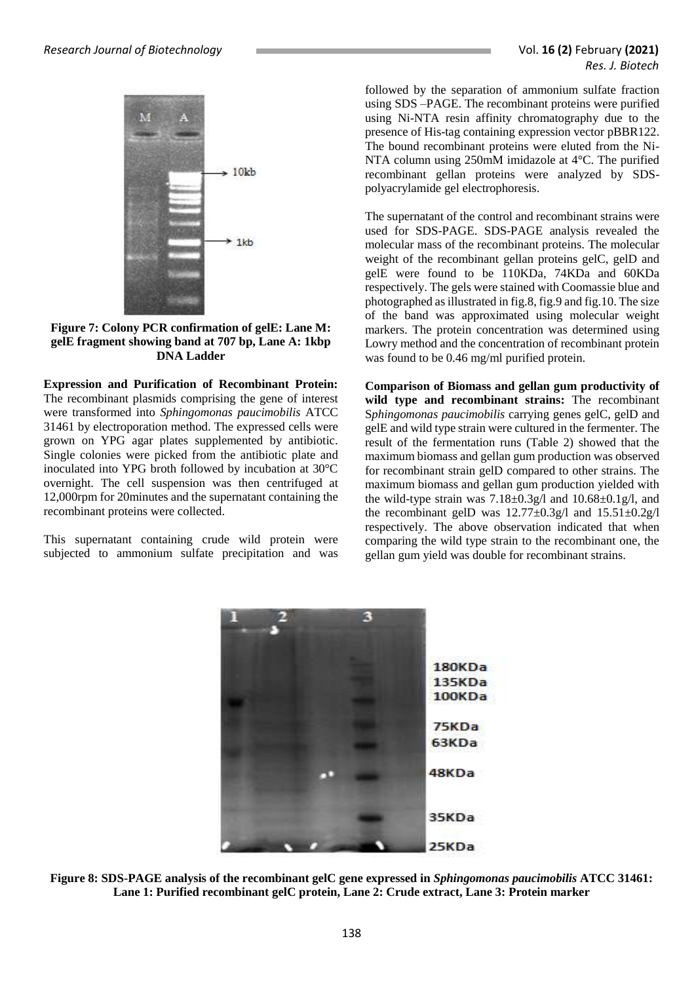

**Figure 7: Colony PCR confirmation of gelE: Lane M: gelE fragment showing band at 707 bp, Lane A: 1kbp DNA Ladder**

**Expression and Purification of Recombinant Protein:**  The recombinant plasmids comprising the gene of interest were transformed into *Sphingomonas paucimobilis* ATCC 31461 by electroporation method. The expressed cells were grown on YPG agar plates supplemented by antibiotic. Single colonies were picked from the antibiotic plate and inoculated into YPG broth followed by incubation at 30°C overnight. The cell suspension was then centrifuged at 12,000rpm for 20minutes and the supernatant containing the recombinant proteins were collected.

This supernatant containing crude wild protein were subjected to ammonium sulfate precipitation and was

followed by the separation of ammonium sulfate fraction using SDS –PAGE. The recombinant proteins were purified using Ni-NTA resin affinity chromatography due to the presence of His-tag containing expression vector pBBR122. The bound recombinant proteins were eluted from the Ni-NTA column using 250mM imidazole at 4°C. The purified recombinant gellan proteins were analyzed by SDSpolyacrylamide gel electrophoresis.

The supernatant of the control and recombinant strains were used for SDS-PAGE. SDS-PAGE analysis revealed the molecular mass of the recombinant proteins. The molecular weight of the recombinant gellan proteins gelC, gelD and gelE were found to be 110KDa, 74KDa and 60KDa respectively. The gels were stained with Coomassie blue and photographed as illustrated in fig.8, fig.9 and fig.10. The size of the band was approximated using molecular weight markers. The protein concentration was determined using Lowry method and the concentration of recombinant protein was found to be 0.46 mg/ml purified protein.

**Comparison of Biomass and gellan gum productivity of wild type and recombinant strains:** The recombinant S*phingomonas paucimobilis* carrying genes gelC, gelD and gelE and wild type strain were cultured in the fermenter. The result of the fermentation runs (Table 2) showed that the maximum biomass and gellan gum production was observed for recombinant strain gelD compared to other strains. The maximum biomass and gellan gum production yielded with the wild-type strain was  $7.18 \pm 0.3$  g/l and  $10.68 \pm 0.1$  g/l, and the recombinant gelD was  $12.77 \pm 0.3$ g/l and  $15.51 \pm 0.2$ g/l respectively. The above observation indicated that when comparing the wild type strain to the recombinant one, the gellan gum yield was double for recombinant strains.



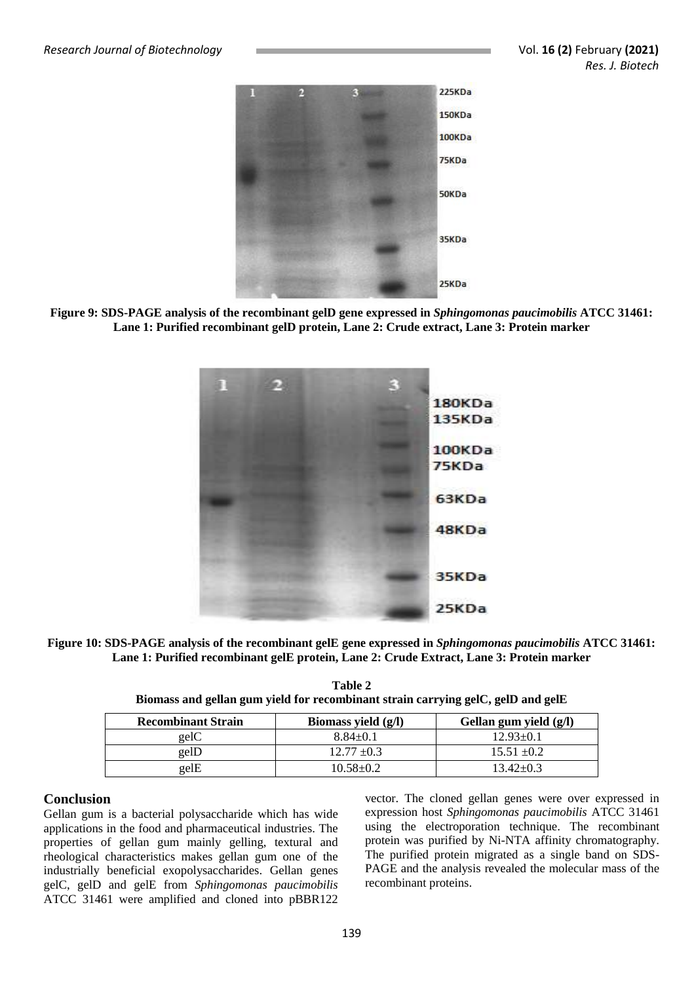

**Figure 9: SDS-PAGE analysis of the recombinant gelD gene expressed in** *Sphingomonas paucimobilis* **ATCC 31461: Lane 1: Purified recombinant gelD protein, Lane 2: Crude extract, Lane 3: Protein marker**



**Figure 10: SDS-PAGE analysis of the recombinant gelE gene expressed in** *Sphingomonas paucimobilis* **ATCC 31461: Lane 1: Purified recombinant gelE protein, Lane 2: Crude Extract, Lane 3: Protein marker**

| Table 2                                                                          |  |  |  |  |
|----------------------------------------------------------------------------------|--|--|--|--|
| Biomass and gellan gum yield for recombinant strain carrying gelC, gelD and gelE |  |  |  |  |
|                                                                                  |  |  |  |  |

| <b>Recombinant Strain</b> | Biomass yield $(g/I)$ | Gellan gum yield (g/l) |
|---------------------------|-----------------------|------------------------|
| gelC                      | $8.84 \pm 0.1$        | $12.93 \pm 0.1$        |
| gelD                      | $12.77 \pm 0.3$       | $15.51 \pm 0.2$        |
| gelE                      | 10.58±0.2             | $13.42 + 0.3$          |

### **Conclusion**

Gellan gum is a bacterial polysaccharide which has wide applications in the food and pharmaceutical industries. The properties of gellan gum mainly gelling, textural and rheological characteristics makes gellan gum one of the industrially beneficial exopolysaccharides. Gellan genes gelC, gelD and gelE from *Sphingomonas paucimobilis*  ATCC 31461 were amplified and cloned into pBBR122

vector. The cloned gellan genes were over expressed in expression host *Sphingomonas paucimobilis* ATCC 31461 using the electroporation technique. The recombinant protein was purified by Ni-NTA affinity chromatography. The purified protein migrated as a single band on SDS-PAGE and the analysis revealed the molecular mass of the recombinant proteins.